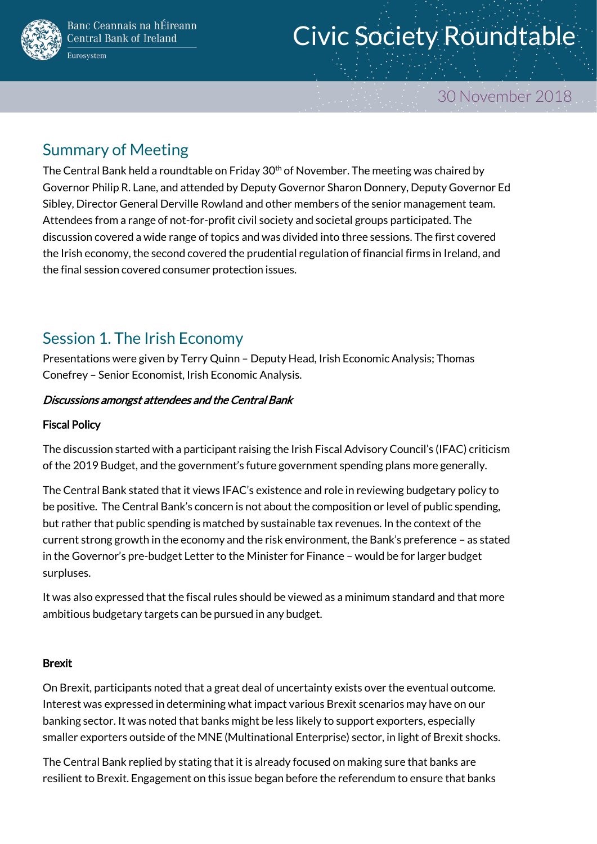

# Civic Society Roundtable

# 30 November 2018

# Summary of Meeting

The Central Bank held a roundtable on Friday 30<sup>th</sup> of November. The meeting was chaired by Governor Philip R. Lane, and attended by Deputy Governor Sharon Donnery, Deputy Governor Ed Sibley, Director General Derville Rowland and other members of the senior management team. Attendees from a range of not-for-profit civil society and societal groups participated. The discussion covered a wide range of topics and was divided into three sessions. The first covered the Irish economy, the second covered the prudential regulation of financial firms in Ireland, and the final session covered consumer protection issues.

# Session 1. The Irish Economy

Presentations were given by Terry Quinn – Deputy Head, Irish Economic Analysis; Thomas Conefrey – Senior Economist, Irish Economic Analysis.

## Discussions amongst attendees and the Central Bank

## Fiscal Policy

The discussion started with a participant raising the Irish Fiscal Advisory Council's (IFAC) criticism of the 2019 Budget, and the government's future government spending plans more generally.

The Central Bank stated that it views IFAC's existence and role in reviewing budgetary policy to be positive. The Central Bank's concern is not about the composition or level of public spending, but rather that public spending is matched by sustainable tax revenues. In the context of the current strong growth in the economy and the risk environment, the Bank's preference – as stated in the Governor's pre-budget Letter to the Minister for Finance – would be for larger budget surpluses.

It was also expressed that the fiscal rules should be viewed as a minimum standard and that more ambitious budgetary targets can be pursued in any budget.

#### Brexit

On Brexit, participants noted that a great deal of uncertainty exists over the eventual outcome. Interest was expressed in determining what impact various Brexit scenarios may have on our banking sector. It was noted that banks might be less likely to support exporters, especially smaller exporters outside of the MNE (Multinational Enterprise) sector, in light of Brexit shocks.

The Central Bank replied by stating that it is already focused on making sure that banks are resilient to Brexit. Engagement on this issue began before the referendum to ensure that banks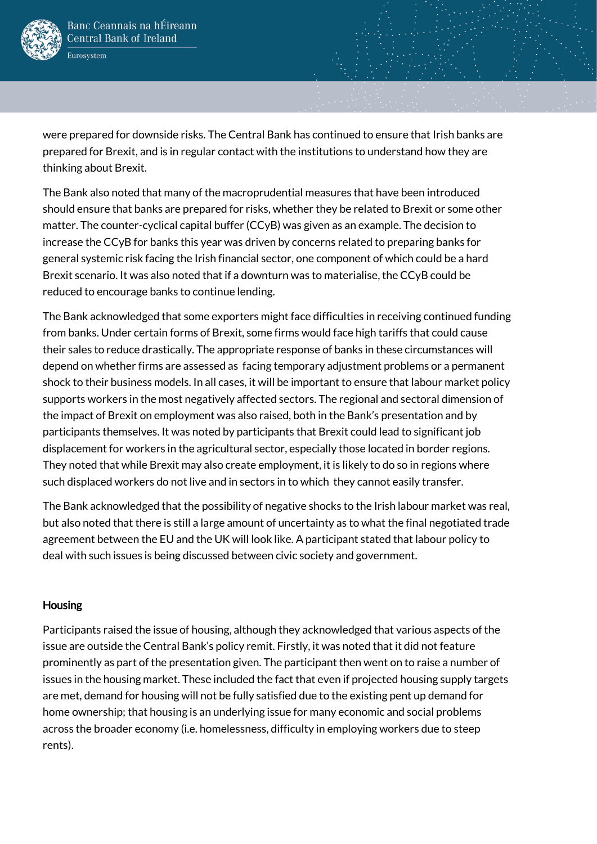

were prepared for downside risks. The Central Bank has continued to ensure that Irish banks are prepared for Brexit, and is in regular contact with the institutions to understand how they are thinking about Brexit.

The Bank also noted that many of the macroprudential measures that have been introduced should ensure that banks are prepared for risks, whether they be related to Brexit or some other matter. The counter-cyclical capital buffer (CCyB) was given as an example. The decision to increase the CCyB for banks this year was driven by concerns related to preparing banks for general systemic risk facing the Irish financial sector, one component of which could be a hard Brexit scenario. It was also noted that if a downturn was to materialise, the CCyB could be reduced to encourage banks to continue lending.

The Bank acknowledged that some exporters might face difficulties in receiving continued funding from banks. Under certain forms of Brexit, some firms would face high tariffs that could cause their sales to reduce drastically. The appropriate response of banks in these circumstances will depend on whether firms are assessed as facing temporary adjustment problems or a permanent shock to their business models. In all cases, it will be important to ensure that labour market policy supports workers in the most negatively affected sectors. The regional and sectoral dimension of the impact of Brexit on employment was also raised, both in the Bank's presentation and by participants themselves. It was noted by participants that Brexit could lead to significant job displacement for workers in the agricultural sector, especially those located in border regions. They noted that while Brexit may also create employment, it is likely to do so in regions where such displaced workers do not live and in sectors in to which they cannot easily transfer.

The Bank acknowledged that the possibility of negative shocks to the Irish labour market was real, but also noted that there is still a large amount of uncertainty as to what the final negotiated trade agreement between the EU and the UK will look like. A participant stated that labour policy to deal with such issues is being discussed between civic society and government.

#### Housing

Participants raised the issue of housing, although they acknowledged that various aspects of the issue are outside the Central Bank's policy remit. Firstly, it was noted that it did not feature prominently as part of the presentation given. The participant then went on to raise a number of issues in the housing market. These included the fact that even if projected housing supply targets are met, demand for housing will not be fully satisfied due to the existing pent up demand for home ownership; that housing is an underlying issue for many economic and social problems across the broader economy (i.e. homelessness, difficulty in employing workers due to steep rents).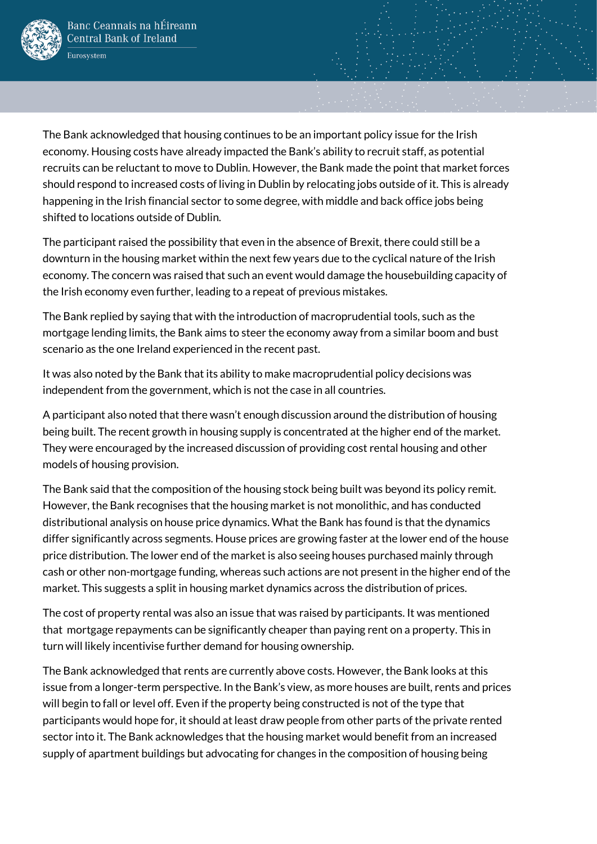

The Bank acknowledged that housing continues to be an important policy issue for the Irish economy. Housing costs have already impacted the Bank's ability to recruit staff, as potential recruits can be reluctant to move to Dublin. However, the Bank made the point that market forces should respond to increased costs of living in Dublin by relocating jobs outside of it. This is already happening in the Irish financial sector to some degree, with middle and back office jobs being shifted to locations outside of Dublin.

The participant raised the possibility that even in the absence of Brexit, there could still be a downturn in the housing market within the next few years due to the cyclical nature of the Irish economy. The concern was raised that such an event would damage the housebuilding capacity of the Irish economy even further, leading to a repeat of previous mistakes.

The Bank replied by saying that with the introduction of macroprudential tools, such as the mortgage lending limits, the Bank aims to steer the economy away from a similar boom and bust scenario as the one Ireland experienced in the recent past.

It was also noted by the Bank that its ability to make macroprudential policy decisions was independent from the government, which is not the case in all countries.

A participant also noted that there wasn't enough discussion around the distribution of housing being built. The recent growth in housing supply is concentrated at the higher end of the market. They were encouraged by the increased discussion of providing cost rental housing and other models of housing provision.

The Bank said that the composition of the housing stock being built was beyond its policy remit. However, the Bank recognises that the housing market is not monolithic, and has conducted distributional analysis on house price dynamics. What the Bank has found is that the dynamics differ significantly across segments. House prices are growing faster at the lower end of the house price distribution. The lower end of the market is also seeing houses purchased mainly through cash or other non-mortgage funding, whereas such actions are not present in the higher end of the market. This suggests a split in housing market dynamics across the distribution of prices.

The cost of property rental was also an issue that was raised by participants. It was mentioned that mortgage repayments can be significantly cheaper than paying rent on a property. This in turn will likely incentivise further demand for housing ownership.

The Bank acknowledged that rents are currently above costs. However, the Bank looks at this issue from a longer-term perspective. In the Bank's view, as more houses are built, rents and prices will begin to fall or level off. Even if the property being constructed is not of the type that participants would hope for, it should at least draw people from other parts of the private rented sector into it. The Bank acknowledges that the housing market would benefit from an increased supply of apartment buildings but advocating for changes in the composition of housing being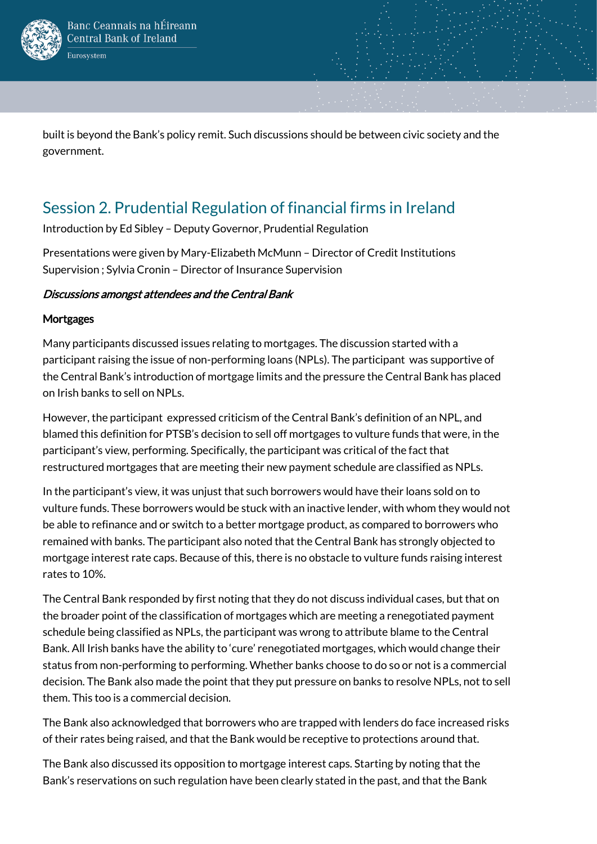

built is beyond the Bank's policy remit. Such discussions should be between civic society and the government.

# Session 2. Prudential Regulation of financial firms in Ireland

Introduction by Ed Sibley – Deputy Governor, Prudential Regulation

Presentations were given by Mary-Elizabeth McMunn – Director of Credit Institutions Supervision ; Sylvia Cronin – Director of Insurance Supervision

## Discussions amongst attendees and the Central Bank

### **Mortgages**

Many participants discussed issues relating to mortgages. The discussion started with a participant raising the issue of non-performing loans (NPLs). The participant was supportive of the Central Bank's introduction of mortgage limits and the pressure the Central Bank has placed on Irish banks to sell on NPLs.

However, the participant expressed criticism of the Central Bank's definition of an NPL, and blamed this definition for PTSB's decision to sell off mortgages to vulture funds that were, in the participant's view, performing. Specifically, the participant was critical of the fact that restructured mortgages that are meeting their new payment schedule are classified as NPLs.

In the participant's view, it was unjust that such borrowers would have their loans sold on to vulture funds. These borrowers would be stuck with an inactive lender, with whom they would not be able to refinance and or switch to a better mortgage product, as compared to borrowers who remained with banks. The participant also noted that the Central Bank has strongly objected to mortgage interest rate caps. Because of this, there is no obstacle to vulture funds raising interest rates to 10%.

The Central Bank responded by first noting that they do not discuss individual cases, but that on the broader point of the classification of mortgages which are meeting a renegotiated payment schedule being classified as NPLs, the participant was wrong to attribute blame to the Central Bank. All Irish banks have the ability to 'cure' renegotiated mortgages, which would change their status from non-performing to performing. Whether banks choose to do so or not is a commercial decision. The Bank also made the point that they put pressure on banks to resolve NPLs, not to sell them. This too is a commercial decision.

The Bank also acknowledged that borrowers who are trapped with lenders do face increased risks of their rates being raised, and that the Bank would be receptive to protections around that.

The Bank also discussed its opposition to mortgage interest caps. Starting by noting that the Bank's reservations on such regulation have been clearly stated in the past, and that the Bank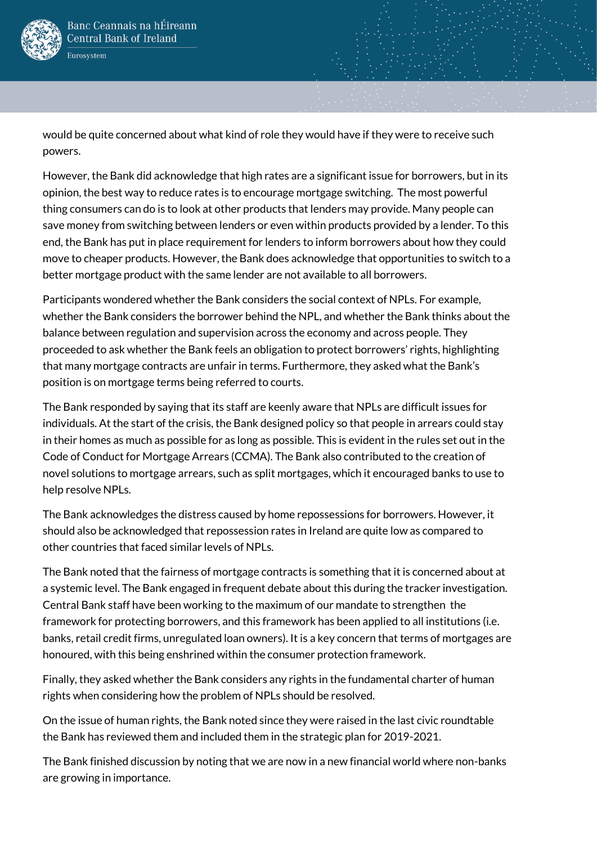

would be quite concerned about what kind of role they would have if they were to receive such powers.

However, the Bank did acknowledge that high rates are a significant issue for borrowers, but in its opinion, the best way to reduce rates is to encourage mortgage switching. The most powerful thing consumers can do is to look at other products that lenders may provide. Many people can save money from switching between lenders or even within products provided by a lender. To this end, the Bank has put in place requirement for lenders to inform borrowers about how they could move to cheaper products. However, the Bank does acknowledge that opportunities to switch to a better mortgage product with the same lender are not available to all borrowers.

Participants wondered whether the Bank considers the social context of NPLs. For example, whether the Bank considers the borrower behind the NPL, and whether the Bank thinks about the balance between regulation and supervision across the economy and across people. They proceeded to ask whether the Bank feels an obligation to protect borrowers' rights, highlighting that many mortgage contracts are unfair in terms. Furthermore, they asked what the Bank's position is on mortgage terms being referred to courts.

The Bank responded by saying that its staff are keenly aware that NPLs are difficult issues for individuals. At the start of the crisis, the Bank designed policy so that people in arrears could stay in their homes as much as possible for as long as possible. This is evident in the rules set out in the Code of Conduct for Mortgage Arrears (CCMA). The Bank also contributed to the creation of novel solutions to mortgage arrears, such as split mortgages, which it encouraged banks to use to help resolve NPLs.

The Bank acknowledges the distress caused by home repossessions for borrowers. However, it should also be acknowledged that repossession rates in Ireland are quite low as compared to other countries that faced similar levels of NPLs.

The Bank noted that the fairness of mortgage contracts is something that it is concerned about at a systemic level. The Bank engaged in frequent debate about this during the tracker investigation. Central Bank staff have been working to the maximum of our mandate to strengthen the framework for protecting borrowers, and this framework has been applied to all institutions (i.e. banks, retail credit firms, unregulated loan owners). It is a key concern that terms of mortgages are honoured, with this being enshrined within the consumer protection framework.

Finally, they asked whether the Bank considers any rights in the fundamental charter of human rights when considering how the problem of NPLs should be resolved.

On the issue of human rights, the Bank noted since they were raised in the last civic roundtable the Bank has reviewed them and included them in the strategic plan for 2019-2021.

The Bank finished discussion by noting that we are now in a new financial world where non-banks are growing in importance.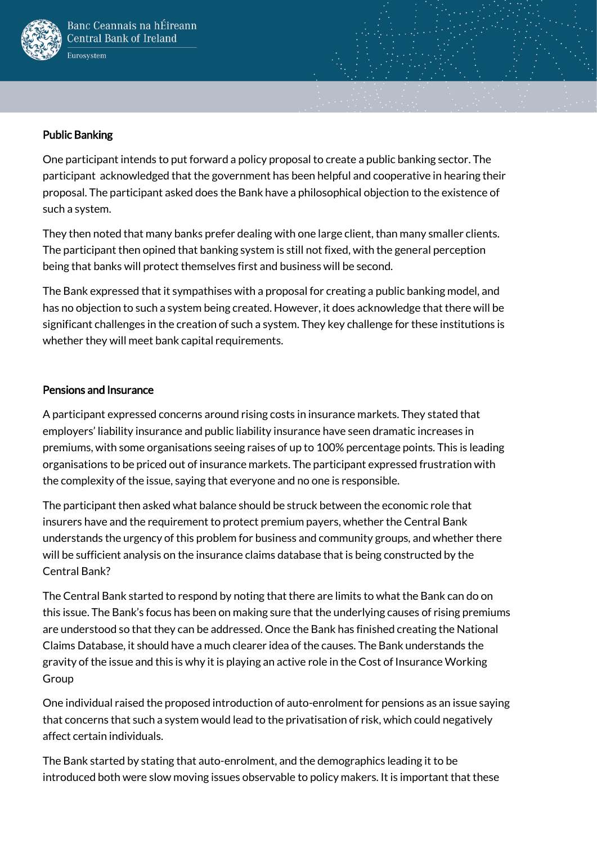

### Public Banking

One participant intends to put forward a policy proposal to create a public banking sector. The participant acknowledged that the government has been helpful and cooperative in hearing their proposal. The participant asked does the Bank have a philosophical objection to the existence of such a system.

They then noted that many banks prefer dealing with one large client, than many smaller clients. The participant then opined that banking system is still not fixed, with the general perception being that banks will protect themselves first and business will be second.

The Bank expressed that it sympathises with a proposal for creating a public banking model, and has no objection to such a system being created. However, it does acknowledge that there will be significant challenges in the creation of such a system. They key challenge for these institutions is whether they will meet bank capital requirements.

### Pensions and Insurance

A participant expressed concerns around rising costs in insurance markets. They stated that employers' liability insurance and public liability insurance have seen dramatic increases in premiums, with some organisations seeing raises of up to 100% percentage points. This is leading organisations to be priced out of insurance markets. The participant expressed frustration with the complexity of the issue, saying that everyone and no one is responsible.

The participant then asked what balance should be struck between the economic role that insurers have and the requirement to protect premium payers, whether the Central Bank understands the urgency of this problem for business and community groups, and whether there will be sufficient analysis on the insurance claims database that is being constructed by the Central Bank?

The Central Bank started to respond by noting that there are limits to what the Bank can do on this issue. The Bank's focus has been on making sure that the underlying causes of rising premiums are understood so that they can be addressed. Once the Bank has finished creating the National Claims Database, it should have a much clearer idea of the causes. The Bank understands the gravity of the issue and this is why it is playing an active role in the Cost of Insurance Working Group

One individual raised the proposed introduction of auto-enrolment for pensions as an issue saying that concerns that such a system would lead to the privatisation of risk, which could negatively affect certain individuals.

The Bank started by stating that auto-enrolment, and the demographics leading it to be introduced both were slow moving issues observable to policy makers. It is important that these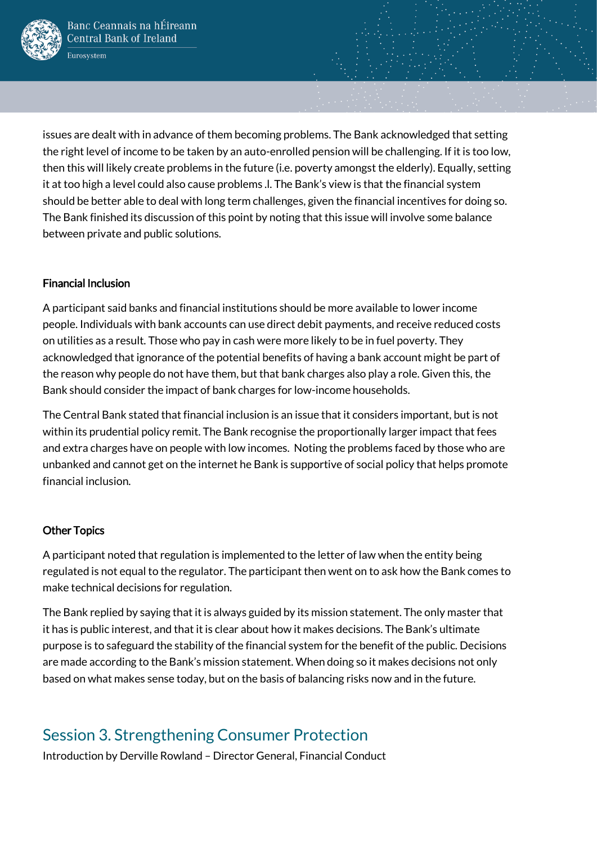

issues are dealt with in advance of them becoming problems. The Bank acknowledged that setting the right level of income to be taken by an auto-enrolled pension will be challenging. If it is too low, then this will likely create problems in the future (i.e. poverty amongst the elderly). Equally, setting it at too high a level could also cause problems .l. The Bank's view is that the financial system should be better able to deal with long term challenges, given the financial incentives for doing so. The Bank finished its discussion of this point by noting that this issue will involve some balance between private and public solutions.

#### Financial Inclusion

A participant said banks and financial institutions should be more available to lower income people. Individuals with bank accounts can use direct debit payments, and receive reduced costs on utilities as a result. Those who pay in cash were more likely to be in fuel poverty. They acknowledged that ignorance of the potential benefits of having a bank account might be part of the reason why people do not have them, but that bank charges also play a role. Given this, the Bank should consider the impact of bank charges for low-income households.

The Central Bank stated that financial inclusion is an issue that it considers important, but is not within its prudential policy remit. The Bank recognise the proportionally larger impact that fees and extra charges have on people with low incomes. Noting the problems faced by those who are unbanked and cannot get on the internet he Bank is supportive of social policy that helps promote financial inclusion.

#### Other Topics

A participant noted that regulation is implemented to the letter of law when the entity being regulated is not equal to the regulator. The participant then went on to ask how the Bank comes to make technical decisions for regulation.

The Bank replied by saying that it is always guided by its mission statement. The only master that it has is public interest, and that it is clear about how it makes decisions. The Bank's ultimate purpose is to safeguard the stability of the financial system for the benefit of the public. Decisions are made according to the Bank's mission statement. When doing so it makes decisions not only based on what makes sense today, but on the basis of balancing risks now and in the future.

# Session 3. Strengthening Consumer Protection

Introduction by Derville Rowland – Director General, Financial Conduct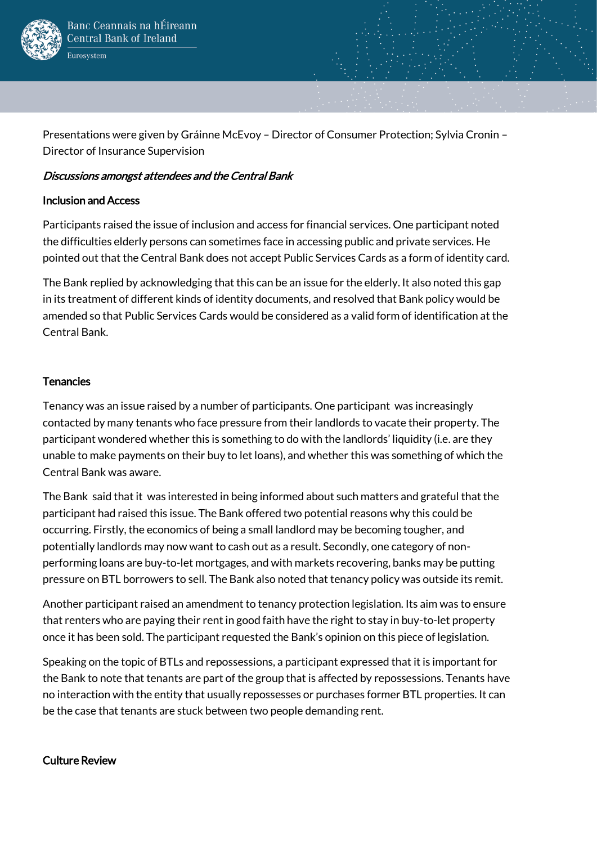

Presentations were given by Gráinne McEvoy – Director of Consumer Protection; Sylvia Cronin – Director of Insurance Supervision

#### Discussions amongst attendees and the Central Bank

#### Inclusion and Access

Participants raised the issue of inclusion and access for financial services. One participant noted the difficulties elderly persons can sometimes face in accessing public and private services. He pointed out that the Central Bank does not accept Public Services Cards as a form of identity card.

The Bank replied by acknowledging that this can be an issue for the elderly. It also noted this gap in its treatment of different kinds of identity documents, and resolved that Bank policy would be amended so that Public Services Cards would be considered as a valid form of identification at the Central Bank.

#### **Tenancies**

Tenancy was an issue raised by a number of participants. One participant was increasingly contacted by many tenants who face pressure from their landlords to vacate their property. The participant wondered whether this is something to do with the landlords' liquidity (i.e. are they unable to make payments on their buy to let loans), and whether this was something of which the Central Bank was aware.

The Bank said that it was interested in being informed about such matters and grateful that the participant had raised this issue. The Bank offered two potential reasons why this could be occurring. Firstly, the economics of being a small landlord may be becoming tougher, and potentially landlords may now want to cash out as a result. Secondly, one category of nonperforming loans are buy-to-let mortgages, and with markets recovering, banks may be putting pressure on BTL borrowers to sell. The Bank also noted that tenancy policy was outside its remit.

Another participant raised an amendment to tenancy protection legislation. Its aim was to ensure that renters who are paying their rent in good faith have the right to stay in buy-to-let property once it has been sold. The participant requested the Bank's opinion on this piece of legislation.

Speaking on the topic of BTLs and repossessions, a participant expressed that it is important for the Bank to note that tenants are part of the group that is affected by repossessions. Tenants have no interaction with the entity that usually repossesses or purchases former BTL properties. It can be the case that tenants are stuck between two people demanding rent.

#### Culture Review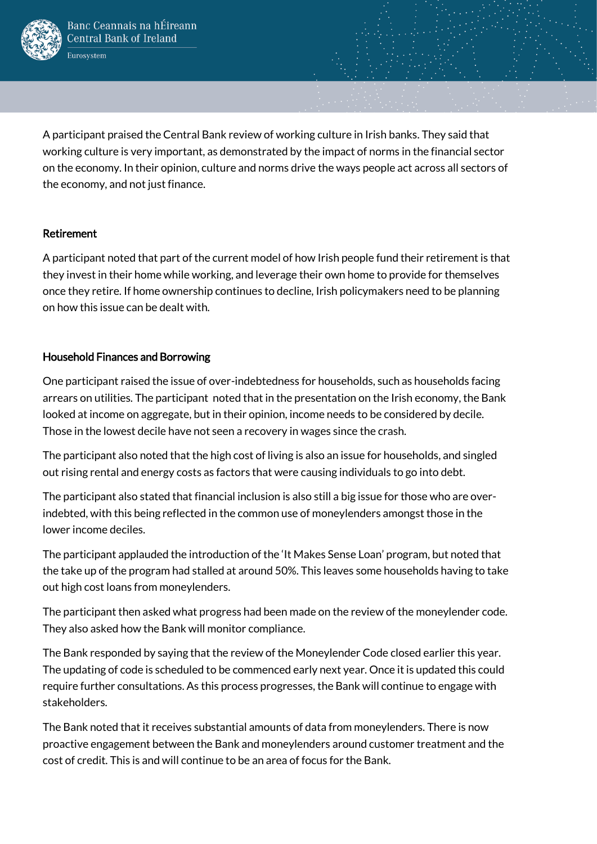

A participant praised the Central Bank review of working culture in Irish banks. They said that working culture is very important, as demonstrated by the impact of norms in the financial sector on the economy. In their opinion, culture and norms drive the ways people act across all sectors of the economy, and not just finance.

#### Retirement

A participant noted that part of the current model of how Irish people fund their retirement is that they invest in their home while working, and leverage their own home to provide for themselves once they retire. If home ownership continues to decline, Irish policymakers need to be planning on how this issue can be dealt with.

#### Household Finances and Borrowing

One participant raised the issue of over-indebtedness for households, such as households facing arrears on utilities. The participant noted that in the presentation on the Irish economy, the Bank looked at income on aggregate, but in their opinion, income needs to be considered by decile. Those in the lowest decile have not seen a recovery in wages since the crash.

The participant also noted that the high cost of living is also an issue for households, and singled out rising rental and energy costs as factors that were causing individuals to go into debt.

The participant also stated that financial inclusion is also still a big issue for those who are overindebted, with this being reflected in the common use of moneylenders amongst those in the lower income deciles.

The participant applauded the introduction of the 'It Makes Sense Loan' program, but noted that the take up of the program had stalled at around 50%. This leaves some households having to take out high cost loans from moneylenders.

The participant then asked what progress had been made on the review of the moneylender code. They also asked how the Bank will monitor compliance.

The Bank responded by saying that the review of the Moneylender Code closed earlier this year. The updating of code is scheduled to be commenced early next year. Once it is updated this could require further consultations. As this process progresses, the Bank will continue to engage with stakeholders.

The Bank noted that it receives substantial amounts of data from moneylenders. There is now proactive engagement between the Bank and moneylenders around customer treatment and the cost of credit. This is and will continue to be an area of focus for the Bank.